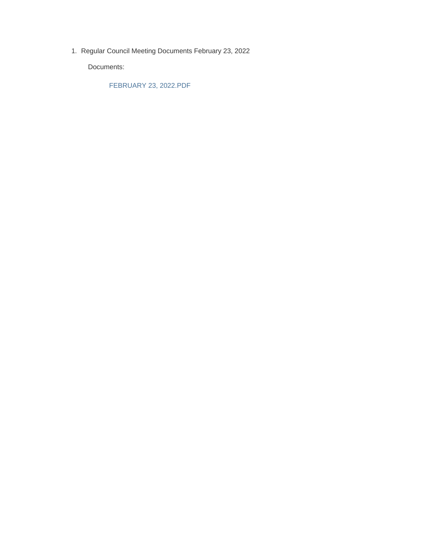1. Regular Council Meeting Documents February 23, 2022

Documents:

FEBRUARY 23, 2022.PDF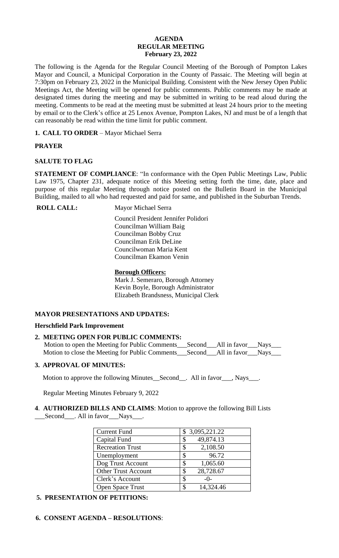#### **AGENDA REGULAR MEETING February 23, 2022**

The following is the Agenda for the Regular Council Meeting of the Borough of Pompton Lakes Mayor and Council, a Municipal Corporation in the County of Passaic. The Meeting will begin at 7:30pm on February 23, 2022 in the Municipal Building. Consistent with the New Jersey Open Public Meetings Act, the Meeting will be opened for public comments. Public comments may be made at designated times during the meeting and may be submitted in writing to be read aloud during the meeting. Comments to be read at the meeting must be submitted at least 24 hours prior to the meeting by email or to the Clerk's office at 25 Lenox Avenue, Pompton Lakes, NJ and must be of a length that can reasonably be read within the time limit for public comment.

**1. CALL TO ORDER** – Mayor Michael Serra

# **PRAYER**

# **SALUTE TO FLAG**

**STATEMENT OF COMPLIANCE**: "In conformance with the Open Public Meetings Law, Public Law 1975, Chapter 231, adequate notice of this Meeting setting forth the time, date, place and purpose of this regular Meeting through notice posted on the Bulletin Board in the Municipal Building, mailed to all who had requested and paid for same, and published in the Suburban Trends.

**ROLL CALL:** Mayor Michael Serra

 Council President Jennifer Polidori Councilman William Baig Councilman Bobby Cruz Councilman Erik DeLine Councilwoman Maria Kent Councilman Ekamon Venin

## **Borough Officers:**

Mark J. Semeraro, Borough Attorney Kevin Boyle, Borough Administrator Elizabeth Brandsness, Municipal Clerk

## **MAYOR PRESENTATIONS AND UPDATES:**

## **Herschfield Park Improvement**

| 2. MEETING OPEN FOR PUBLIC COMMENTS:                                                    |  |  |
|-----------------------------------------------------------------------------------------|--|--|
| Motion to open the Meeting for Public Comments ___ Second ___ All in favor ___ Nays ___ |  |  |
|                                                                                         |  |  |

# **3. APPROVAL OF MINUTES:**

**Motion to approve the following Minutes\_Second\_\_. All in favor\_\_\_, Nays\_\_\_.** 

Regular Meeting Minutes February 9, 2022

## **4**. **AUTHORIZED BILLS AND CLAIMS**: Motion to approve the following Bill Lists Second All in favor Nays ...

| <b>Current Fund</b>        | \$3,095,221.22  |
|----------------------------|-----------------|
| Capital Fund               | 49,874.13<br>\$ |
| <b>Recreation Trust</b>    | 2,108.50        |
| Unemployment               | 96.72<br>S      |
| Dog Trust Account          | 1,065.60<br>\$  |
| <b>Other Trust Account</b> | 28,728.67<br>\$ |
| Clerk's Account            | S<br>$-0-$      |
| Open Space Trust           | 14,324.46<br>\$ |

# **5. PRESENTATION OF PETITIONS:**

# **6. CONSENT AGENDA – RESOLUTIONS**: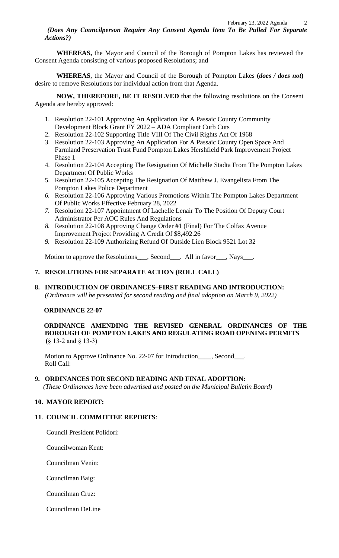*(Does Any Councilperson Require Any Consent Agenda Item To Be Pulled For Separate Actions?)*

**WHEREAS,** the Mayor and Council of the Borough of Pompton Lakes has reviewed the Consent Agenda consisting of various proposed Resolutions; and

**WHEREAS**, the Mayor and Council of the Borough of Pompton Lakes **(***does / does not***)** desire to remove Resolutions for individual action from that Agenda.

**NOW, THEREFORE, BE IT RESOLVED** that the following resolutions on the Consent Agenda are hereby approved:

- 1. Resolution 22-101 Approving An Application For A Passaic County Community Development Block Grant FY 2022 – ADA Compliant Curb Cuts
- 2. Resolution 22-102 Supporting Title VIII Of The Civil Rights Act Of 1968
- 3. Resolution 22-103 Approving An Application For A Passaic County Open Space And Farmland Preservation Trust Fund Pompton Lakes Hershfield Park Improvement Project Phase 1
- 4. Resolution 22-104 Accepting The Resignation Of Michelle Stadta From The Pompton Lakes Department Of Public Works
- 5. Resolution 22-105 Accepting The Resignation Of Matthew J. Evangelista From The Pompton Lakes Police Department
- *6.* Resolution 22-106 Approving Various Promotions Within The Pompton Lakes Department Of Public Works Effective February 28, 2022
- *7.* Resolution 22-107 Appointment Of Lachelle Lenair To The Position Of Deputy Court Administrator Per AOC Rules And Regulations
- *8.* Resolution 22-108 Approving Change Order #1 (Final) For The Colfax Avenue Improvement Project Providing A Credit Of \$8,492.26
- *9.* Resolution 22-109 Authorizing Refund Of Outside Lien Block 9521 Lot 32

Motion to approve the Resolutions\_\_\_, Second\_\_\_. All in favor\_\_\_, Nays\_\_\_.

# **7. RESOLUTIONS FOR SEPARATE ACTION (ROLL CALL)**

**8. INTRODUCTION OF ORDINANCES–FIRST READING AND INTRODUCTION:**  *(Ordinance will be presented for second reading and final adoption on March 9, 2022)*

## **ORDINANCE 22-07**

**ORDINANCE AMENDING THE REVISED GENERAL ORDINANCES OF THE BOROUGH OF POMPTON LAKES AND REGULATING ROAD OPENING PERMITS (**§ 13-2 and § 13-3)

Motion to Approve Ordinance No. 22-07 for Introduction\_\_\_\_, Second\_\_\_. Roll Call:

## **9. ORDINANCES FOR SECOND READING AND FINAL ADOPTION:**

 *(These Ordinances have been advertised and posted on the Municipal Bulletin Board)*

# **10. MAYOR REPORT:**

## **11**. **COUNCIL COMMITTEE REPORTS**:

Council President Polidori:

Councilwoman Kent:

Councilman Venin:

Councilman Baig:

Councilman Cruz:

Councilman DeLine